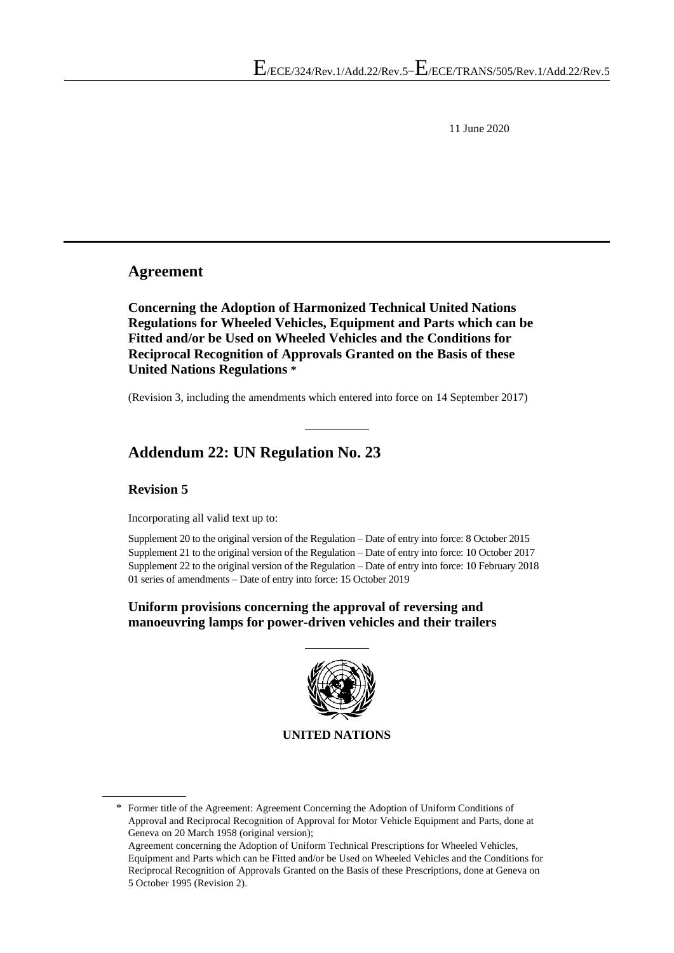11 June 2020

#### **Agreement**

**Concerning the Adoption of Harmonized Technical United Nations Regulations for Wheeled Vehicles, Equipment and Parts which can be Fitted and/or be Used on Wheeled Vehicles and the Conditions for Reciprocal Recognition of Approvals Granted on the Basis of these United Nations Regulations \***

(Revision 3, including the amendments which entered into force on 14 September 2017)

# **Addendum 22: UN Regulation No. 23**

#### **Revision 5**

Incorporating all valid text up to:

Supplement 20 to the original version of the Regulation – Date of entry into force: 8 October 2015 Supplement 21 to the original version of the Regulation – Date of entry into force: 10 October 2017 Supplement 22 to the original version of the Regulation – Date of entry into force: 10 February 2018 01 series of amendments – Date of entry into force: 15 October 2019

#### **Uniform provisions concerning the approval of reversing and manoeuvring lamps for power-driven vehicles and their trailers**



\* Former title of the Agreement: Agreement Concerning the Adoption of Uniform Conditions of Approval and Reciprocal Recognition of Approval for Motor Vehicle Equipment and Parts, done at Geneva on 20 March 1958 (original version); Agreement concerning the Adoption of Uniform Technical Prescriptions for Wheeled Vehicles, Equipment and Parts which can be Fitted and/or be Used on Wheeled Vehicles and the Conditions for Reciprocal Recognition of Approvals Granted on the Basis of these Prescriptions, done at Geneva on 5 October 1995 (Revision 2).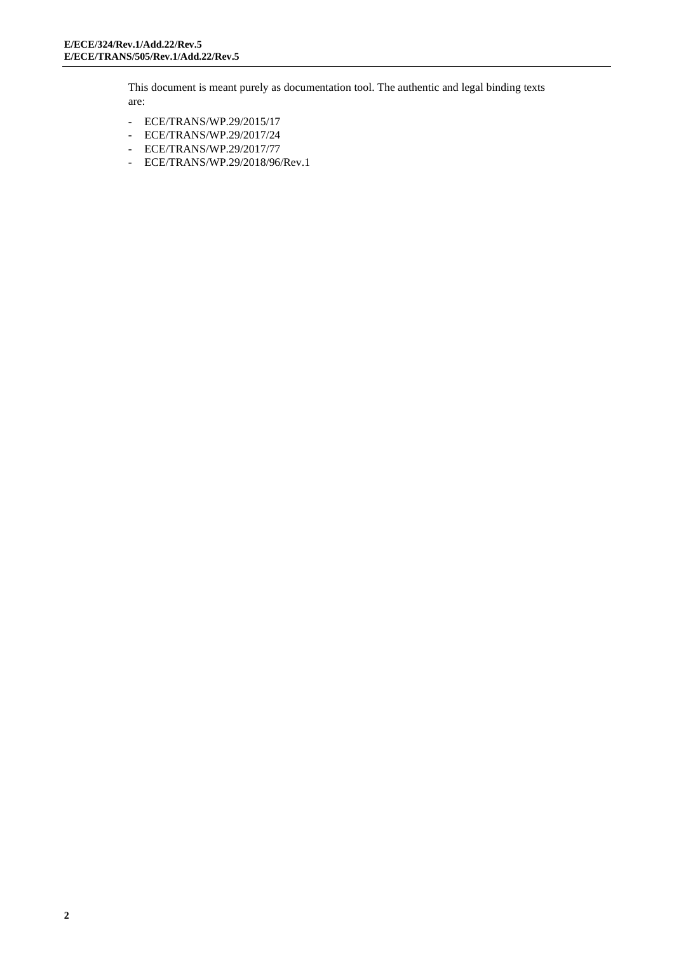This document is meant purely as documentation tool. The authentic and legal binding texts are:

- ECE/TRANS/WP.29/2015/17
- ECE/TRANS/WP.29/2017/24
- ECE/TRANS/WP.29/2017/77
- ECE/TRANS/WP.29/2018/96/Rev.1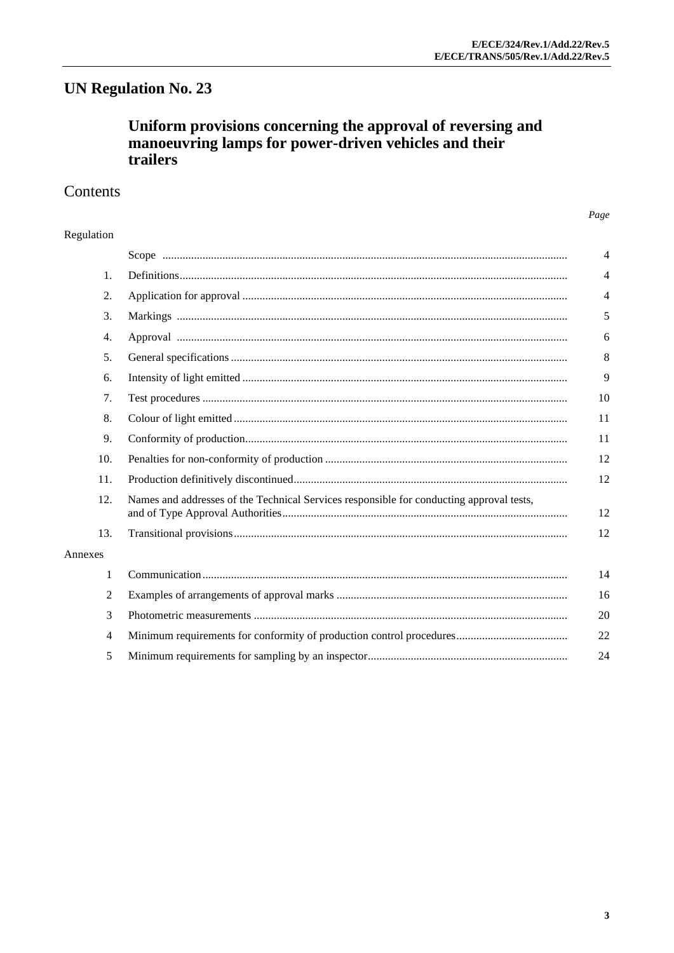# **UN Regulation No. 23**

# Uniform provisions concerning the approval of reversing and manoeuvring lamps for power-driven vehicles and their trailers

# Contents

#### Regulation

|         |                                                                                          | $\overline{4}$ |  |
|---------|------------------------------------------------------------------------------------------|----------------|--|
| 1.      |                                                                                          | 4              |  |
| 2.      |                                                                                          | $\overline{4}$ |  |
| 3.      |                                                                                          | 5              |  |
| 4.      |                                                                                          | 6              |  |
| 5.      |                                                                                          | 8              |  |
| 6.      |                                                                                          | 9              |  |
| 7.      |                                                                                          | 10             |  |
| 8.      |                                                                                          | 11             |  |
| 9.      |                                                                                          | 11             |  |
| 10.     |                                                                                          | 12             |  |
| 11.     |                                                                                          | 12             |  |
| 12.     | Names and addresses of the Technical Services responsible for conducting approval tests, |                |  |
| 13.     |                                                                                          | 12             |  |
| Annexes |                                                                                          |                |  |
| 1       |                                                                                          | 14             |  |
| 2       |                                                                                          | 16             |  |
| 3       |                                                                                          | 20             |  |
| 4       |                                                                                          | 22             |  |
| 5       |                                                                                          | 24             |  |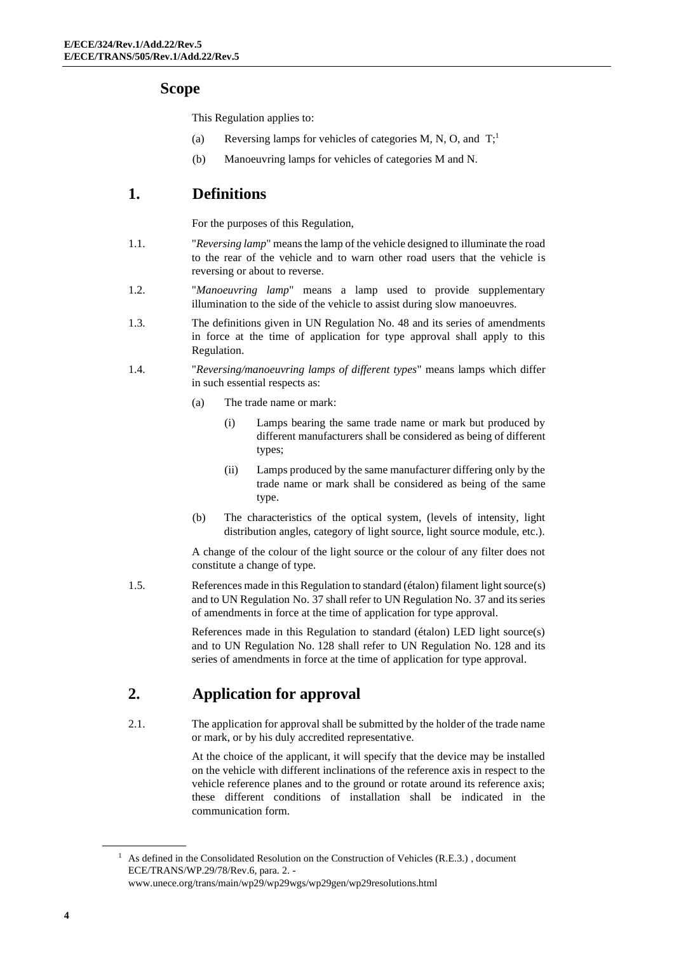#### **Scope**

This Regulation applies to:

- (a) Reversing lamps for vehicles of categories M, N, O, and  $T$ ;
- (b) Manoeuvring lamps for vehicles of categories M and N.

#### **1. Definitions**

For the purposes of this Regulation,

- 1.1. "*Reversing lamp*" means the lamp of the vehicle designed to illuminate the road to the rear of the vehicle and to warn other road users that the vehicle is reversing or about to reverse.
- 1.2. "*Manoeuvring lamp*" means a lamp used to provide supplementary illumination to the side of the vehicle to assist during slow manoeuvres.
- 1.3. The definitions given in UN Regulation No. 48 and its series of amendments in force at the time of application for type approval shall apply to this Regulation.
- 1.4. "*Reversing/manoeuvring lamps of different types*" means lamps which differ in such essential respects as:
	- (a) The trade name or mark:
		- (i) Lamps bearing the same trade name or mark but produced by different manufacturers shall be considered as being of different types;
		- (ii) Lamps produced by the same manufacturer differing only by the trade name or mark shall be considered as being of the same type.
	- (b) The characteristics of the optical system, (levels of intensity, light distribution angles, category of light source, light source module, etc.).

A change of the colour of the light source or the colour of any filter does not constitute a change of type.

1.5. References made in this Regulation to standard (étalon) filament light source(s) and to UN Regulation No. 37 shall refer to UN Regulation No. 37 and its series of amendments in force at the time of application for type approval.

> References made in this Regulation to standard (étalon) LED light source(s) and to UN Regulation No. 128 shall refer to UN Regulation No. 128 and its series of amendments in force at the time of application for type approval.

# **2. Application for approval**

2.1. The application for approval shall be submitted by the holder of the trade name or mark, or by his duly accredited representative.

> At the choice of the applicant, it will specify that the device may be installed on the vehicle with different inclinations of the reference axis in respect to the vehicle reference planes and to the ground or rotate around its reference axis; these different conditions of installation shall be indicated in the communication form.

<sup>&</sup>lt;sup>1</sup> As defined in the Consolidated Resolution on the Construction of Vehicles (R.E.3.), document ECE/TRANS/WP.29/78/Rev.6, para. 2. [www.unece.org/trans/main/wp29/wp29wgs/wp29gen/wp29resolutions.html](http://www.unece.org/trans/main/wp29/wp29wgs/wp29gen/wp29resolutions.html)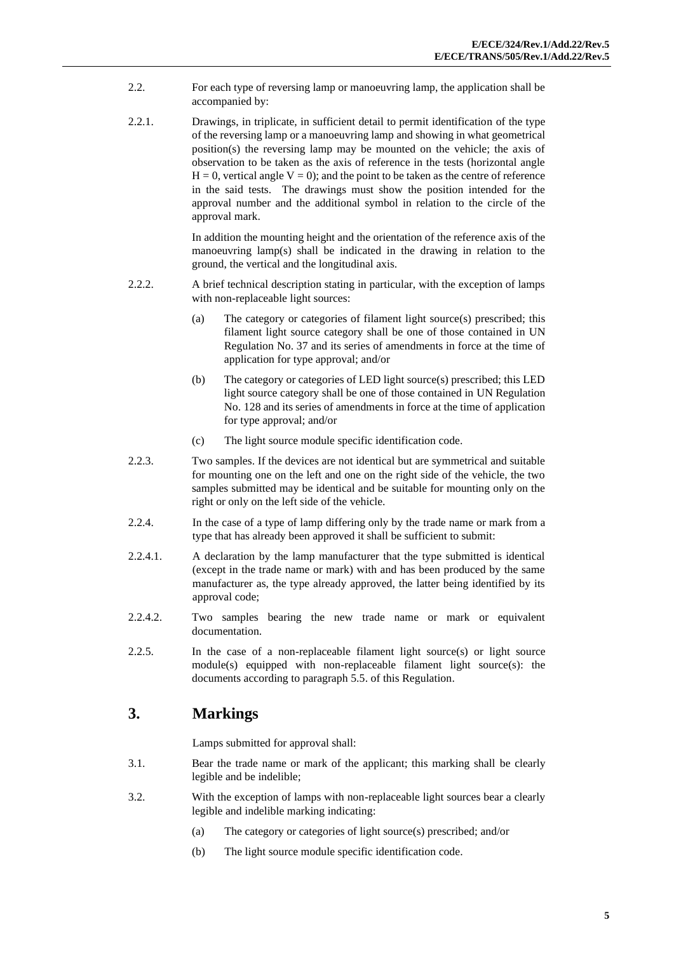- 2.2. For each type of reversing lamp or manoeuvring lamp, the application shall be accompanied by:
- 2.2.1. Drawings, in triplicate, in sufficient detail to permit identification of the type of the reversing lamp or a manoeuvring lamp and showing in what geometrical position(s) the reversing lamp may be mounted on the vehicle; the axis of observation to be taken as the axis of reference in the tests (horizontal angle  $H = 0$ , vertical angle  $V = 0$ ); and the point to be taken as the centre of reference in the said tests. The drawings must show the position intended for the approval number and the additional symbol in relation to the circle of the approval mark.

In addition the mounting height and the orientation of the reference axis of the manoeuvring lamp(s) shall be indicated in the drawing in relation to the ground, the vertical and the longitudinal axis.

- 2.2.2. A brief technical description stating in particular, with the exception of lamps with non-replaceable light sources:
	- (a) The category or categories of filament light source(s) prescribed; this filament light source category shall be one of those contained in UN Regulation No. 37 and its series of amendments in force at the time of application for type approval; and/or
	- (b) The category or categories of LED light source(s) prescribed; this LED light source category shall be one of those contained in UN Regulation No. 128 and its series of amendments in force at the time of application for type approval; and/or
	- (c) The light source module specific identification code.
- 2.2.3. Two samples. If the devices are not identical but are symmetrical and suitable for mounting one on the left and one on the right side of the vehicle, the two samples submitted may be identical and be suitable for mounting only on the right or only on the left side of the vehicle.
- 2.2.4. In the case of a type of lamp differing only by the trade name or mark from a type that has already been approved it shall be sufficient to submit:
- 2.2.4.1. A declaration by the lamp manufacturer that the type submitted is identical (except in the trade name or mark) with and has been produced by the same manufacturer as, the type already approved, the latter being identified by its approval code;
- 2.2.4.2. Two samples bearing the new trade name or mark or equivalent documentation.
- 2.2.5. In the case of a non-replaceable filament light source(s) or light source module(s) equipped with non-replaceable filament light source(s): the documents according to paragraph 5.5. of this Regulation.

#### **3. Markings**

Lamps submitted for approval shall:

- 3.1. Bear the trade name or mark of the applicant; this marking shall be clearly legible and be indelible;
- 3.2. With the exception of lamps with non-replaceable light sources bear a clearly legible and indelible marking indicating:
	- (a) The category or categories of light source(s) prescribed; and/or
	- (b) The light source module specific identification code.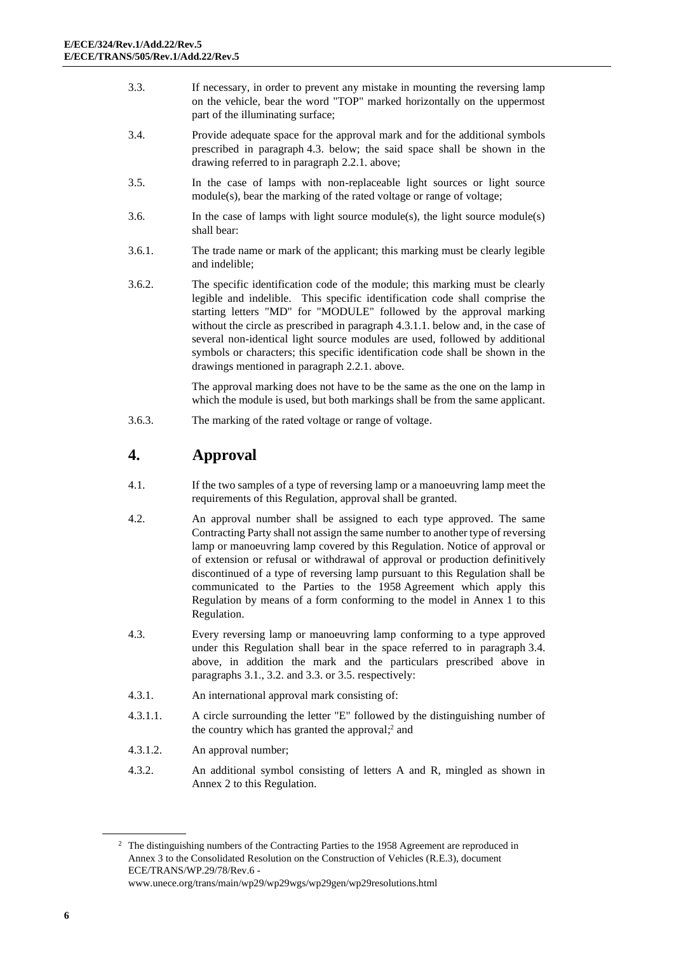- 3.3. If necessary, in order to prevent any mistake in mounting the reversing lamp on the vehicle, bear the word "TOP" marked horizontally on the uppermost part of the illuminating surface;
- 3.4. Provide adequate space for the approval mark and for the additional symbols prescribed in paragraph 4.3. below; the said space shall be shown in the drawing referred to in paragraph 2.2.1. above;
- 3.5. In the case of lamps with non-replaceable light sources or light source module(s), bear the marking of the rated voltage or range of voltage;
- 3.6. In the case of lamps with light source module(s), the light source module(s) shall bear:
- 3.6.1. The trade name or mark of the applicant; this marking must be clearly legible and indelible;
- 3.6.2. The specific identification code of the module; this marking must be clearly legible and indelible. This specific identification code shall comprise the starting letters "MD" for "MODULE" followed by the approval marking without the circle as prescribed in paragraph 4.3.1.1. below and, in the case of several non-identical light source modules are used, followed by additional symbols or characters; this specific identification code shall be shown in the drawings mentioned in paragraph 2.2.1. above.

The approval marking does not have to be the same as the one on the lamp in which the module is used, but both markings shall be from the same applicant.

3.6.3. The marking of the rated voltage or range of voltage.

# **4. Approval**

- 4.1. If the two samples of a type of reversing lamp or a manoeuvring lamp meet the requirements of this Regulation, approval shall be granted.
- 4.2. An approval number shall be assigned to each type approved. The same Contracting Party shall not assign the same number to another type of reversing lamp or manoeuvring lamp covered by this Regulation. Notice of approval or of extension or refusal or withdrawal of approval or production definitively discontinued of a type of reversing lamp pursuant to this Regulation shall be communicated to the Parties to the 1958 Agreement which apply this Regulation by means of a form conforming to the model in Annex 1 to this Regulation.
- 4.3. Every reversing lamp or manoeuvring lamp conforming to a type approved under this Regulation shall bear in the space referred to in paragraph 3.4. above, in addition the mark and the particulars prescribed above in paragraphs 3.1., 3.2. and 3.3. or 3.5. respectively:
- 4.3.1. An international approval mark consisting of:
- 4.3.1.1. A circle surrounding the letter "E" followed by the distinguishing number of the country which has granted the approval; <sup>2</sup> and
- 4.3.1.2. An approval number;
- 4.3.2. An additional symbol consisting of letters A and R, mingled as shown in Annex 2 to this Regulation.

<sup>2</sup> The distinguishing numbers of the Contracting Parties to the 1958 Agreement are reproduced in Annex 3 to the Consolidated Resolution on the Construction of Vehicles (R.E.3), document ECE/TRANS/WP.29/78/Rev.6 [www.unece.org/trans/main/wp29/wp29wgs/wp29gen/wp29resolutions.html](http://www.unece.org/trans/main/wp29/wp29wgs/wp29gen/wp29resolutions.html)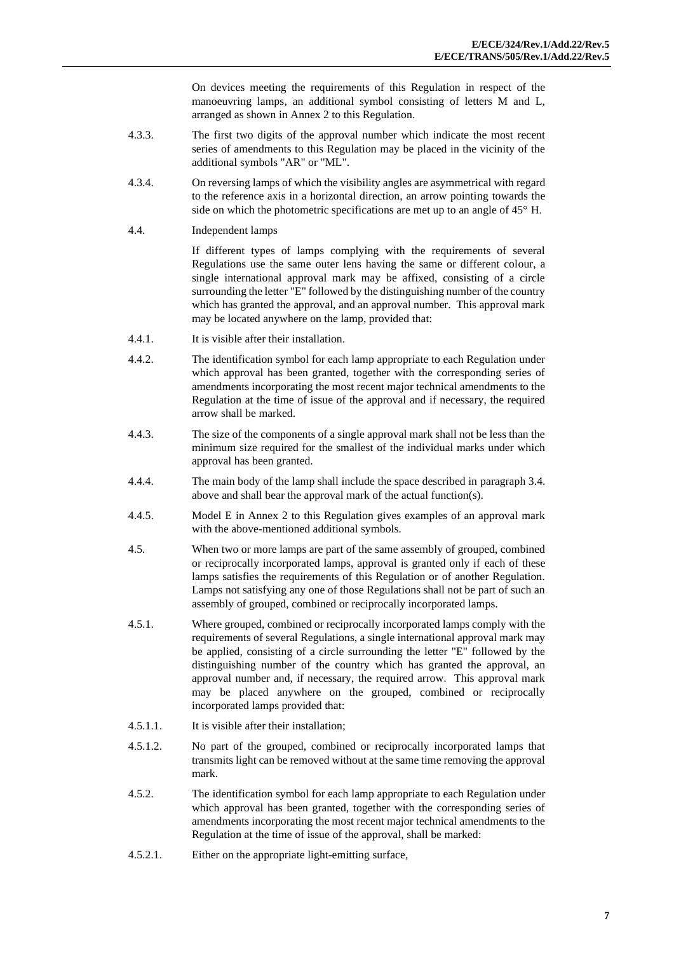On devices meeting the requirements of this Regulation in respect of the manoeuvring lamps, an additional symbol consisting of letters M and L, arranged as shown in Annex 2 to this Regulation.

- 4.3.3. The first two digits of the approval number which indicate the most recent series of amendments to this Regulation may be placed in the vicinity of the additional symbols "AR" or "ML".
- 4.3.4. On reversing lamps of which the visibility angles are asymmetrical with regard to the reference axis in a horizontal direction, an arrow pointing towards the side on which the photometric specifications are met up to an angle of 45° H.
- 4.4. Independent lamps

If different types of lamps complying with the requirements of several Regulations use the same outer lens having the same or different colour, a single international approval mark may be affixed, consisting of a circle surrounding the letter "E" followed by the distinguishing number of the country which has granted the approval, and an approval number. This approval mark may be located anywhere on the lamp, provided that:

- 4.4.1. It is visible after their installation.
- 4.4.2. The identification symbol for each lamp appropriate to each Regulation under which approval has been granted, together with the corresponding series of amendments incorporating the most recent major technical amendments to the Regulation at the time of issue of the approval and if necessary, the required arrow shall be marked.
- 4.4.3. The size of the components of a single approval mark shall not be less than the minimum size required for the smallest of the individual marks under which approval has been granted.
- 4.4.4. The main body of the lamp shall include the space described in paragraph 3.4. above and shall bear the approval mark of the actual function(s).
- 4.4.5. Model E in Annex 2 to this Regulation gives examples of an approval mark with the above-mentioned additional symbols.
- 4.5. When two or more lamps are part of the same assembly of grouped, combined or reciprocally incorporated lamps, approval is granted only if each of these lamps satisfies the requirements of this Regulation or of another Regulation. Lamps not satisfying any one of those Regulations shall not be part of such an assembly of grouped, combined or reciprocally incorporated lamps.
- 4.5.1. Where grouped, combined or reciprocally incorporated lamps comply with the requirements of several Regulations, a single international approval mark may be applied, consisting of a circle surrounding the letter "E" followed by the distinguishing number of the country which has granted the approval, an approval number and, if necessary, the required arrow. This approval mark may be placed anywhere on the grouped, combined or reciprocally incorporated lamps provided that:
- 4.5.1.1. It is visible after their installation;
- 4.5.1.2. No part of the grouped, combined or reciprocally incorporated lamps that transmits light can be removed without at the same time removing the approval mark.
- 4.5.2. The identification symbol for each lamp appropriate to each Regulation under which approval has been granted, together with the corresponding series of amendments incorporating the most recent major technical amendments to the Regulation at the time of issue of the approval, shall be marked:
- 4.5.2.1. Either on the appropriate light-emitting surface,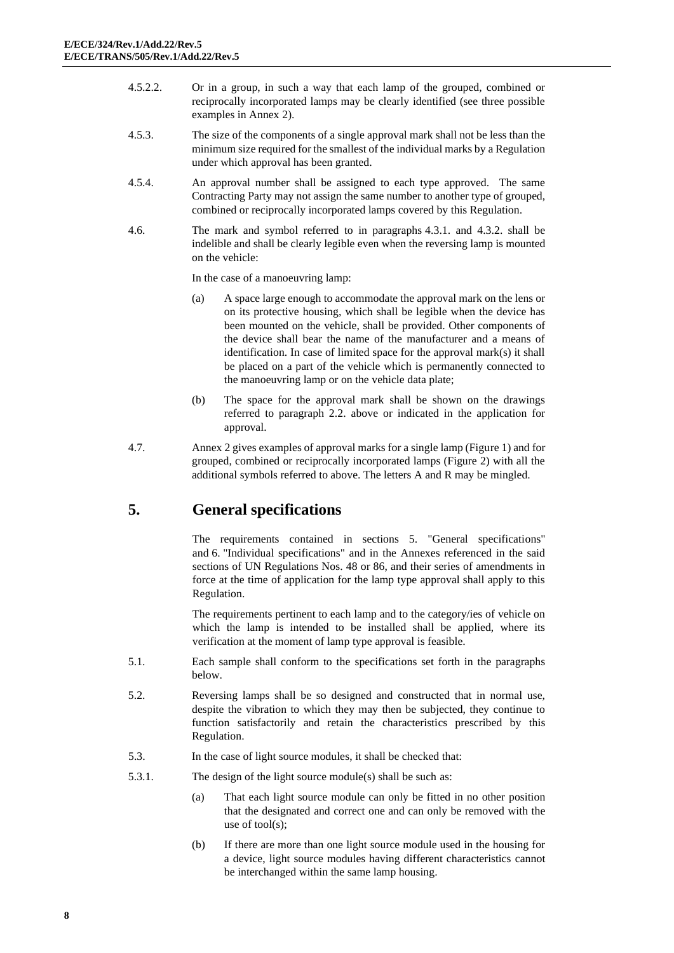- 4.5.2.2. Or in a group, in such a way that each lamp of the grouped, combined or reciprocally incorporated lamps may be clearly identified (see three possible examples in Annex 2).
- 4.5.3. The size of the components of a single approval mark shall not be less than the minimum size required for the smallest of the individual marks by a Regulation under which approval has been granted.
- 4.5.4. An approval number shall be assigned to each type approved. The same Contracting Party may not assign the same number to another type of grouped, combined or reciprocally incorporated lamps covered by this Regulation.
- 4.6. The mark and symbol referred to in paragraphs 4.3.1. and 4.3.2. shall be indelible and shall be clearly legible even when the reversing lamp is mounted on the vehicle:

In the case of a manoeuvring lamp:

- (a) A space large enough to accommodate the approval mark on the lens or on its protective housing, which shall be legible when the device has been mounted on the vehicle, shall be provided. Other components of the device shall bear the name of the manufacturer and a means of identification. In case of limited space for the approval mark(s) it shall be placed on a part of the vehicle which is permanently connected to the manoeuvring lamp or on the vehicle data plate;
- (b) The space for the approval mark shall be shown on the drawings referred to paragraph 2.2. above or indicated in the application for approval.
- 4.7. Annex 2 gives examples of approval marks for a single lamp (Figure 1) and for grouped, combined or reciprocally incorporated lamps (Figure 2) with all the additional symbols referred to above. The letters A and R may be mingled.

# **5. General specifications**

The requirements contained in sections 5. "General specifications" and 6. "Individual specifications" and in the Annexes referenced in the said sections of UN Regulations Nos. 48 or 86, and their series of amendments in force at the time of application for the lamp type approval shall apply to this Regulation.

The requirements pertinent to each lamp and to the category/ies of vehicle on which the lamp is intended to be installed shall be applied, where its verification at the moment of lamp type approval is feasible.

- 5.1. Each sample shall conform to the specifications set forth in the paragraphs below.
- 5.2. Reversing lamps shall be so designed and constructed that in normal use, despite the vibration to which they may then be subjected, they continue to function satisfactorily and retain the characteristics prescribed by this Regulation.
- 5.3. In the case of light source modules, it shall be checked that:
- 5.3.1. The design of the light source module(s) shall be such as:
	- (a) That each light source module can only be fitted in no other position that the designated and correct one and can only be removed with the use of tool(s);
	- (b) If there are more than one light source module used in the housing for a device, light source modules having different characteristics cannot be interchanged within the same lamp housing.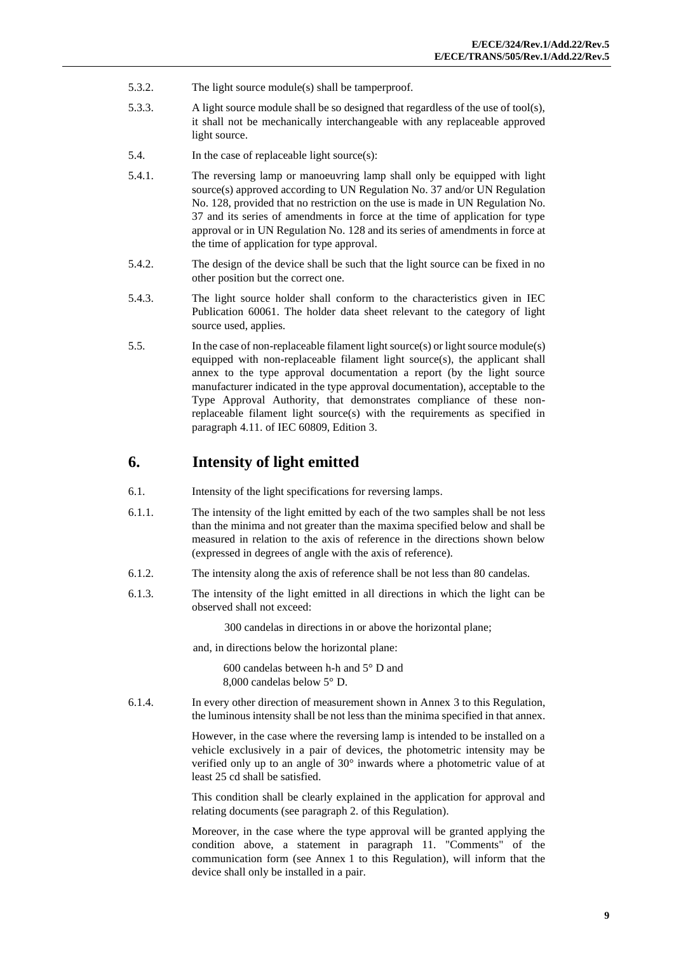- 5.3.2. The light source module(s) shall be tamperproof.
- 5.3.3. A light source module shall be so designed that regardless of the use of tool(s), it shall not be mechanically interchangeable with any replaceable approved light source.
- 5.4. In the case of replaceable light source(s):
- 5.4.1. The reversing lamp or manoeuvring lamp shall only be equipped with light source(s) approved according to UN Regulation No. 37 and/or UN Regulation No. 128, provided that no restriction on the use is made in UN Regulation No. 37 and its series of amendments in force at the time of application for type approval or in UN Regulation No. 128 and its series of amendments in force at the time of application for type approval.
- 5.4.2. The design of the device shall be such that the light source can be fixed in no other position but the correct one.
- 5.4.3. The light source holder shall conform to the characteristics given in IEC Publication 60061. The holder data sheet relevant to the category of light source used, applies.
- 5.5. In the case of non-replaceable filament light source(s) or light source module(s) equipped with non-replaceable filament light source(s), the applicant shall annex to the type approval documentation a report (by the light source manufacturer indicated in the type approval documentation), acceptable to the Type Approval Authority, that demonstrates compliance of these nonreplaceable filament light source(s) with the requirements as specified in paragraph 4.11. of IEC 60809, Edition 3.

#### **6. Intensity of light emitted**

- 6.1. Intensity of the light specifications for reversing lamps.
- 6.1.1. The intensity of the light emitted by each of the two samples shall be not less than the minima and not greater than the maxima specified below and shall be measured in relation to the axis of reference in the directions shown below (expressed in degrees of angle with the axis of reference).
- 6.1.2. The intensity along the axis of reference shall be not less than 80 candelas.
- 6.1.3. The intensity of the light emitted in all directions in which the light can be observed shall not exceed:

300 candelas in directions in or above the horizontal plane;

and, in directions below the horizontal plane:

600 candelas between h-h and 5° D and 8,000 candelas below 5° D.

6.1.4. In every other direction of measurement shown in Annex 3 to this Regulation, the luminous intensity shall be not less than the minima specified in that annex.

> However, in the case where the reversing lamp is intended to be installed on a vehicle exclusively in a pair of devices, the photometric intensity may be verified only up to an angle of 30° inwards where a photometric value of at least 25 cd shall be satisfied.

> This condition shall be clearly explained in the application for approval and relating documents (see paragraph 2. of this Regulation).

> Moreover, in the case where the type approval will be granted applying the condition above, a statement in paragraph 11. "Comments" of the communication form (see Annex 1 to this Regulation), will inform that the device shall only be installed in a pair.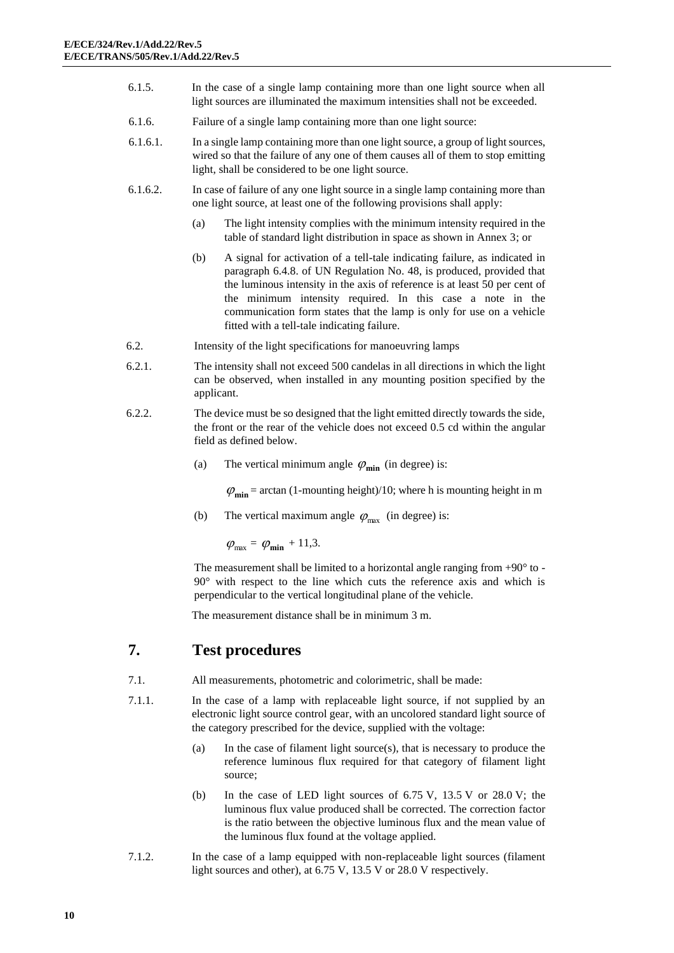- 6.1.5. In the case of a single lamp containing more than one light source when all light sources are illuminated the maximum intensities shall not be exceeded.
- 6.1.6. Failure of a single lamp containing more than one light source:
- 6.1.6.1. In a single lamp containing more than one light source, a group of light sources, wired so that the failure of any one of them causes all of them to stop emitting light, shall be considered to be one light source.
- 6.1.6.2. In case of failure of any one light source in a single lamp containing more than one light source, at least one of the following provisions shall apply:
	- (a) The light intensity complies with the minimum intensity required in the table of standard light distribution in space as shown in Annex 3; or
	- (b) A signal for activation of a tell-tale indicating failure, as indicated in paragraph 6.4.8. of UN Regulation No. 48, is produced, provided that the luminous intensity in the axis of reference is at least 50 per cent of the minimum intensity required. In this case a note in the communication form states that the lamp is only for use on a vehicle fitted with a tell-tale indicating failure.
- 6.2. Intensity of the light specifications for manoeuvring lamps
- 6.2.1. The intensity shall not exceed 500 candelas in all directions in which the light can be observed, when installed in any mounting position specified by the applicant.
- 6.2.2. The device must be so designed that the light emitted directly towards the side, the front or the rear of the vehicle does not exceed 0.5 cd within the angular field as defined below.
	- (a) The vertical minimum angle  $\varphi_{\text{min}}$  (in degree) is:

 $\varphi_{\text{min}}$  = arctan (1-mounting height)/10; where h is mounting height in m

(b) The vertical maximum angle  $\varphi_{\text{max}}$  (in degree) is:

$$
\varphi_{\text{max}} = \varphi_{\text{min}} + 11.3.
$$

The measurement shall be limited to a horizontal angle ranging from  $+90^\circ$  to -90° with respect to the line which cuts the reference axis and which is perpendicular to the vertical longitudinal plane of the vehicle.

The measurement distance shall be in minimum 3 m.

# **7. Test procedures**

- 7.1. All measurements, photometric and colorimetric, shall be made:
- 7.1.1. In the case of a lamp with replaceable light source, if not supplied by an electronic light source control gear, with an uncolored standard light source of the category prescribed for the device, supplied with the voltage:
	- (a) In the case of filament light source(s), that is necessary to produce the reference luminous flux required for that category of filament light source;
	- (b) In the case of LED light sources of  $6.75$  V,  $13.5$  V or  $28.0$  V; the luminous flux value produced shall be corrected. The correction factor is the ratio between the objective luminous flux and the mean value of the luminous flux found at the voltage applied.
- 7.1.2. In the case of a lamp equipped with non-replaceable light sources (filament light sources and other), at 6.75 V, 13.5 V or 28.0 V respectively.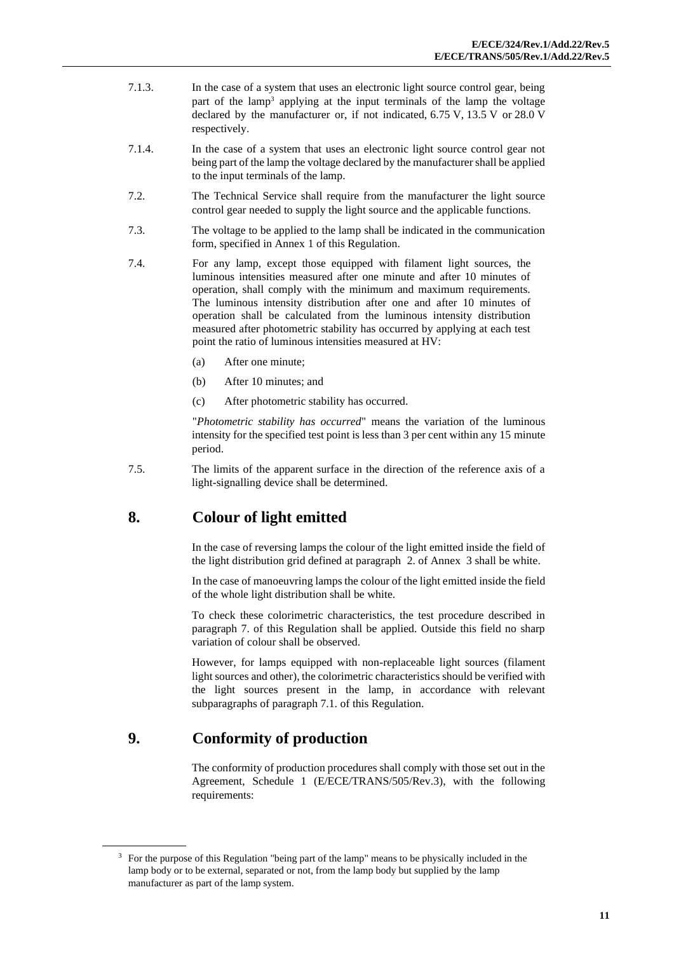- 7.1.3. In the case of a system that uses an electronic light source control gear, being part of the lamp<sup>3</sup> applying at the input terminals of the lamp the voltage declared by the manufacturer or, if not indicated, 6.75 V, 13.5 V or 28.0 V respectively.
- 7.1.4. In the case of a system that uses an electronic light source control gear not being part of the lamp the voltage declared by the manufacturer shall be applied to the input terminals of the lamp.
- 7.2. The Technical Service shall require from the manufacturer the light source control gear needed to supply the light source and the applicable functions.
- 7.3. The voltage to be applied to the lamp shall be indicated in the communication form, specified in Annex 1 of this Regulation.
- 7.4. For any lamp, except those equipped with filament light sources, the luminous intensities measured after one minute and after 10 minutes of operation, shall comply with the minimum and maximum requirements. The luminous intensity distribution after one and after 10 minutes of operation shall be calculated from the luminous intensity distribution measured after photometric stability has occurred by applying at each test point the ratio of luminous intensities measured at HV:
	- (a) After one minute;
	- (b) After 10 minutes; and
	- (c) After photometric stability has occurred.

"*Photometric stability has occurred*" means the variation of the luminous intensity for the specified test point is less than 3 per cent within any 15 minute period.

7.5. The limits of the apparent surface in the direction of the reference axis of a light-signalling device shall be determined.

# **8. Colour of light emitted**

In the case of reversing lamps the colour of the light emitted inside the field of the light distribution grid defined at paragraph 2. of Annex 3 shall be white.

In the case of manoeuvring lamps the colour of the light emitted inside the field of the whole light distribution shall be white.

To check these colorimetric characteristics, the test procedure described in paragraph 7. of this Regulation shall be applied. Outside this field no sharp variation of colour shall be observed.

However, for lamps equipped with non-replaceable light sources (filament light sources and other), the colorimetric characteristics should be verified with the light sources present in the lamp, in accordance with relevant subparagraphs of paragraph 7.1. of this Regulation.

# **9. Conformity of production**

The conformity of production procedures shall comply with those set out in the Agreement, Schedule 1 (E/ECE/TRANS/505/Rev.3), with the following requirements:

<sup>&</sup>lt;sup>3</sup> For the purpose of this Regulation "being part of the lamp" means to be physically included in the lamp body or to be external, separated or not, from the lamp body but supplied by the lamp manufacturer as part of the lamp system.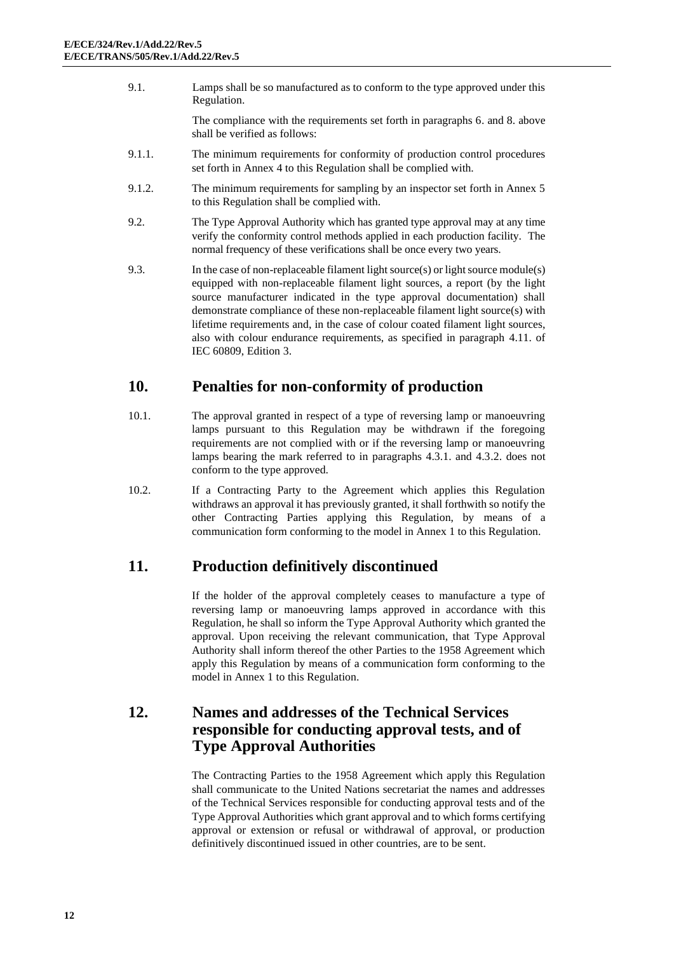9.1. Lamps shall be so manufactured as to conform to the type approved under this Regulation.

> The compliance with the requirements set forth in paragraphs 6. and 8. above shall be verified as follows:

- 9.1.1. The minimum requirements for conformity of production control procedures set forth in Annex 4 to this Regulation shall be complied with.
- 9.1.2. The minimum requirements for sampling by an inspector set forth in Annex 5 to this Regulation shall be complied with.
- 9.2. The Type Approval Authority which has granted type approval may at any time verify the conformity control methods applied in each production facility. The normal frequency of these verifications shall be once every two years.
- 9.3. In the case of non-replaceable filament light source(s) or light source module(s) equipped with non-replaceable filament light sources, a report (by the light source manufacturer indicated in the type approval documentation) shall demonstrate compliance of these non-replaceable filament light source(s) with lifetime requirements and, in the case of colour coated filament light sources, also with colour endurance requirements, as specified in paragraph 4.11. of IEC 60809, Edition 3.

#### **10. Penalties for non-conformity of production**

- 10.1. The approval granted in respect of a type of reversing lamp or manoeuvring lamps pursuant to this Regulation may be withdrawn if the foregoing requirements are not complied with or if the reversing lamp or manoeuvring lamps bearing the mark referred to in paragraphs 4.3.1. and 4.3.2. does not conform to the type approved.
- 10.2. If a Contracting Party to the Agreement which applies this Regulation withdraws an approval it has previously granted, it shall forthwith so notify the other Contracting Parties applying this Regulation, by means of a communication form conforming to the model in Annex 1 to this Regulation.

# **11. Production definitively discontinued**

If the holder of the approval completely ceases to manufacture a type of reversing lamp or manoeuvring lamps approved in accordance with this Regulation, he shall so inform the Type Approval Authority which granted the approval. Upon receiving the relevant communication, that Type Approval Authority shall inform thereof the other Parties to the 1958 Agreement which apply this Regulation by means of a communication form conforming to the model in Annex 1 to this Regulation.

#### **12. Names and addresses of the Technical Services responsible for conducting approval tests, and of Type Approval Authorities**

The Contracting Parties to the 1958 Agreement which apply this Regulation shall communicate to the United Nations secretariat the names and addresses of the Technical Services responsible for conducting approval tests and of the Type Approval Authorities which grant approval and to which forms certifying approval or extension or refusal or withdrawal of approval, or production definitively discontinued issued in other countries, are to be sent.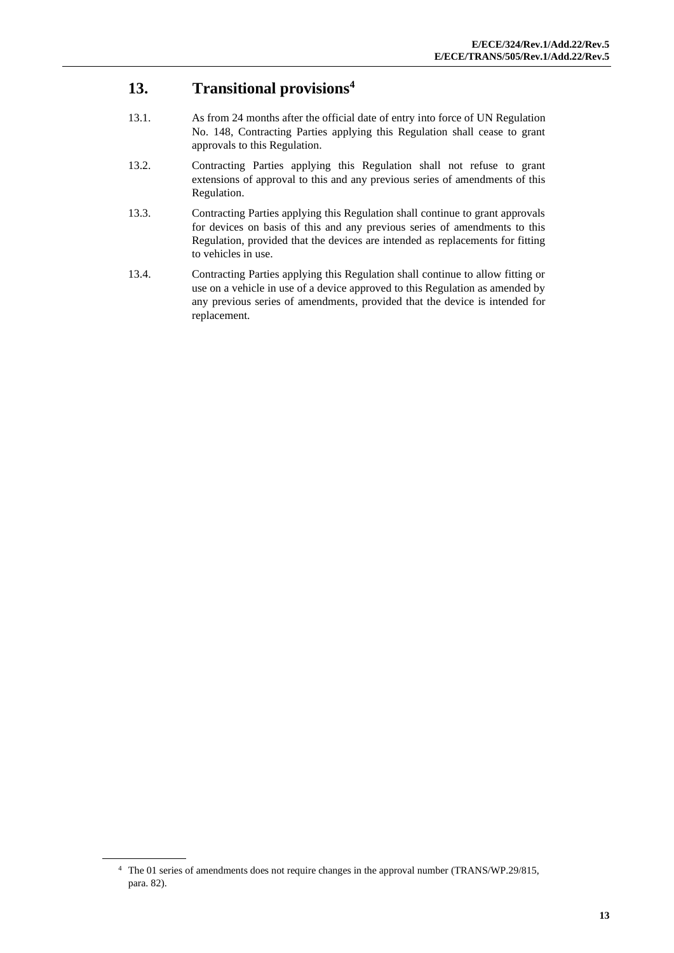# **13. Transitional provisions<sup>4</sup>**

- 13.1. As from 24 months after the official date of entry into force of UN Regulation No. 148, Contracting Parties applying this Regulation shall cease to grant approvals to this Regulation.
- 13.2. Contracting Parties applying this Regulation shall not refuse to grant extensions of approval to this and any previous series of amendments of this Regulation.
- 13.3. Contracting Parties applying this Regulation shall continue to grant approvals for devices on basis of this and any previous series of amendments to this Regulation, provided that the devices are intended as replacements for fitting to vehicles in use.
- 13.4. Contracting Parties applying this Regulation shall continue to allow fitting or use on a vehicle in use of a device approved to this Regulation as amended by any previous series of amendments, provided that the device is intended for replacement.

<sup>4</sup> The 01 series of amendments does not require changes in the approval number (TRANS/WP.29/815, para. 82).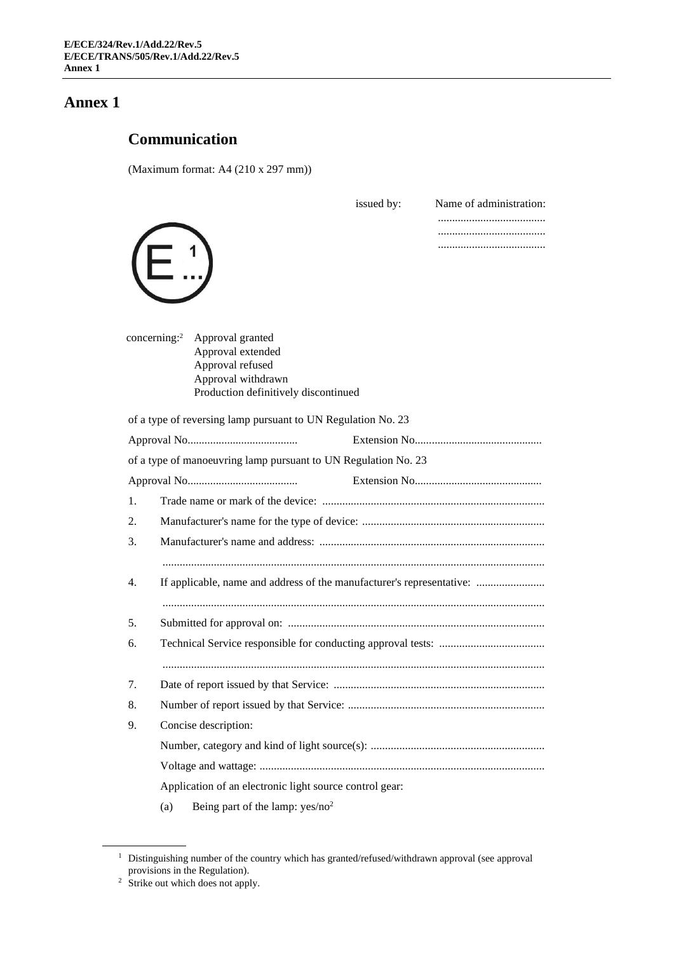# **Communication**

(Maximum format: A4 (210 x 297 mm))

|    |                                                                                                                                            | issued by: | Name of administration: |  |  |
|----|--------------------------------------------------------------------------------------------------------------------------------------------|------------|-------------------------|--|--|
|    |                                                                                                                                            |            |                         |  |  |
|    | concerning: $2$<br>Approval granted<br>Approval extended<br>Approval refused<br>Approval withdrawn<br>Production definitively discontinued |            |                         |  |  |
|    | of a type of reversing lamp pursuant to UN Regulation No. 23                                                                               |            |                         |  |  |
|    |                                                                                                                                            |            |                         |  |  |
|    | of a type of manoeuvring lamp pursuant to UN Regulation No. 23                                                                             |            |                         |  |  |
|    |                                                                                                                                            |            |                         |  |  |
| 1. |                                                                                                                                            |            |                         |  |  |
| 2. |                                                                                                                                            |            |                         |  |  |
| 3. |                                                                                                                                            |            |                         |  |  |
|    |                                                                                                                                            |            |                         |  |  |
| 4. | If applicable, name and address of the manufacturer's representative:                                                                      |            |                         |  |  |
|    |                                                                                                                                            |            |                         |  |  |
| 5. |                                                                                                                                            |            |                         |  |  |
| 6. |                                                                                                                                            |            |                         |  |  |
|    |                                                                                                                                            |            |                         |  |  |
| 7. |                                                                                                                                            |            |                         |  |  |
| 8. |                                                                                                                                            |            |                         |  |  |
| 9. | Concise description:                                                                                                                       |            |                         |  |  |
|    |                                                                                                                                            |            |                         |  |  |
|    |                                                                                                                                            |            |                         |  |  |
|    | Application of an electronic light source control gear:                                                                                    |            |                         |  |  |
|    | Being part of the lamp: $yes/no^2$<br>(a)                                                                                                  |            |                         |  |  |

<sup>&</sup>lt;sup>1</sup> Distinguishing number of the country which has granted/refused/withdrawn approval (see approval provisions in the Regulation).

<sup>&</sup>lt;sup>2</sup> Strike out which does not apply.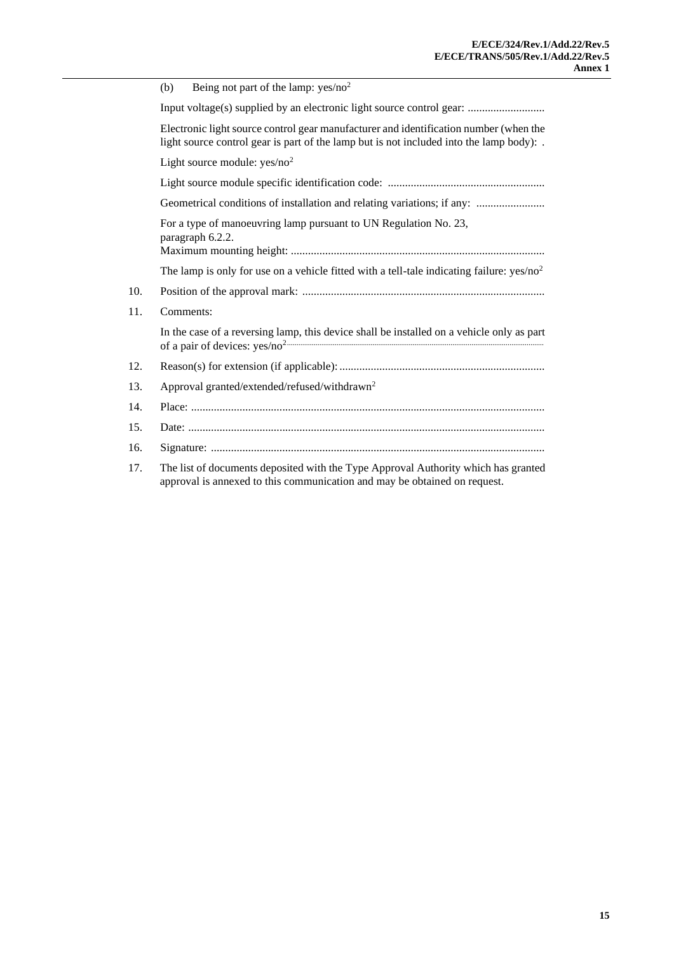|     | (b) | Being not part of the lamp: $yes/no2$                                                                                                                                             |  |  |  |
|-----|-----|-----------------------------------------------------------------------------------------------------------------------------------------------------------------------------------|--|--|--|
|     |     | Input voltage(s) supplied by an electronic light source control gear:                                                                                                             |  |  |  |
|     |     | Electronic light source control gear manufacturer and identification number (when the<br>light source control gear is part of the lamp but is not included into the lamp body): . |  |  |  |
|     |     | Light source module: $yes/no2$                                                                                                                                                    |  |  |  |
|     |     |                                                                                                                                                                                   |  |  |  |
|     |     | Geometrical conditions of installation and relating variations; if any:                                                                                                           |  |  |  |
|     |     | For a type of manoeuvring lamp pursuant to UN Regulation No. 23,<br>paragraph 6.2.2.                                                                                              |  |  |  |
|     |     | The lamp is only for use on a vehicle fitted with a tell-tale indicating failure: $yes/no^2$                                                                                      |  |  |  |
| 10. |     |                                                                                                                                                                                   |  |  |  |
| 11. |     | Comments:                                                                                                                                                                         |  |  |  |
|     |     | In the case of a reversing lamp, this device shall be installed on a vehicle only as part                                                                                         |  |  |  |
| 12. |     |                                                                                                                                                                                   |  |  |  |
| 13. |     | Approval granted/extended/refused/withdrawn <sup>2</sup>                                                                                                                          |  |  |  |
| 14. |     |                                                                                                                                                                                   |  |  |  |
| 15. |     |                                                                                                                                                                                   |  |  |  |
| 16. |     |                                                                                                                                                                                   |  |  |  |
| 17. |     | The list of documents deposited with the Type Approval Authority which has granted                                                                                                |  |  |  |

approval is annexed to this communication and may be obtained on request.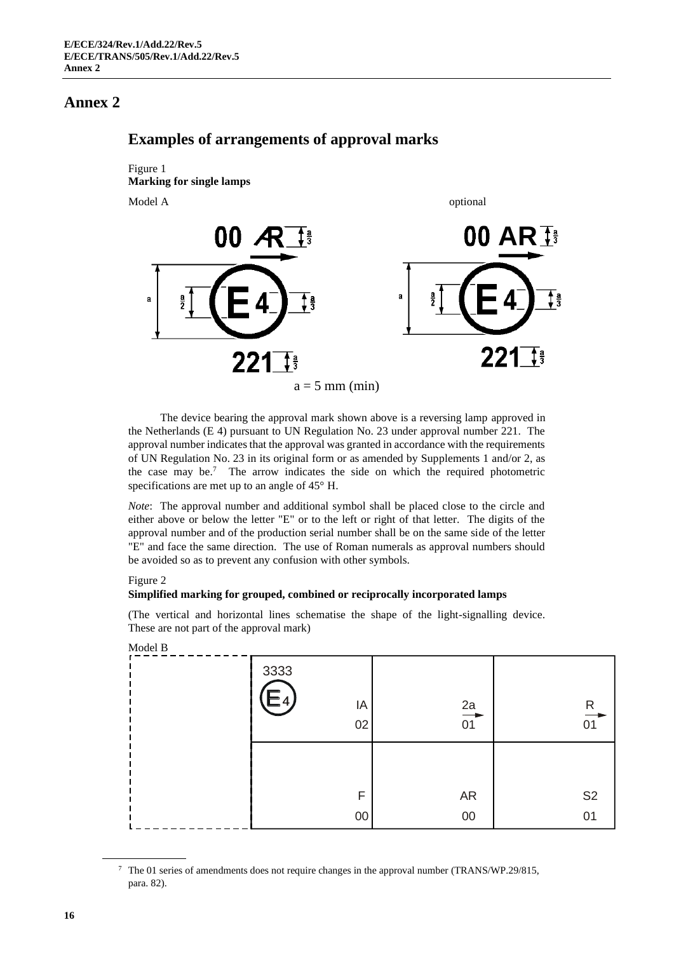

**Examples of arrangements of approval marks**

The device bearing the approval mark shown above is a reversing lamp approved in the Netherlands (E 4) pursuant to UN Regulation No. 23 under approval number 221. The approval number indicates that the approval was granted in accordance with the requirements of UN Regulation No. 23 in its original form or as amended by Supplements 1 and/or 2, as the case may be.<sup>7</sup> The arrow indicates the side on which the required photometric specifications are met up to an angle of 45° H.

*Note*: The approval number and additional symbol shall be placed close to the circle and either above or below the letter "E" or to the left or right of that letter. The digits of the approval number and of the production serial number shall be on the same side of the letter "E" and face the same direction. The use of Roman numerals as approval numbers should be avoided so as to prevent any confusion with other symbols.

#### Figure 2

 $\overline{M}$ 

#### **Simplified marking for grouped, combined or reciprocally incorporated lamps**

(The vertical and horizontal lines schematise the shape of the light-signalling device. These are not part of the approval mark)

| Model B |                  |                 |                      |
|---------|------------------|-----------------|----------------------|
|         | 3333<br>ΙA<br>02 | $\frac{2a}{01}$ | $\mathsf{R}$<br>01   |
|         | F<br>$00\,$      | <b>AR</b><br>00 | S <sub>2</sub><br>01 |

<sup>7</sup> The 01 series of amendments does not require changes in the approval number (TRANS/WP.29/815, para. 82).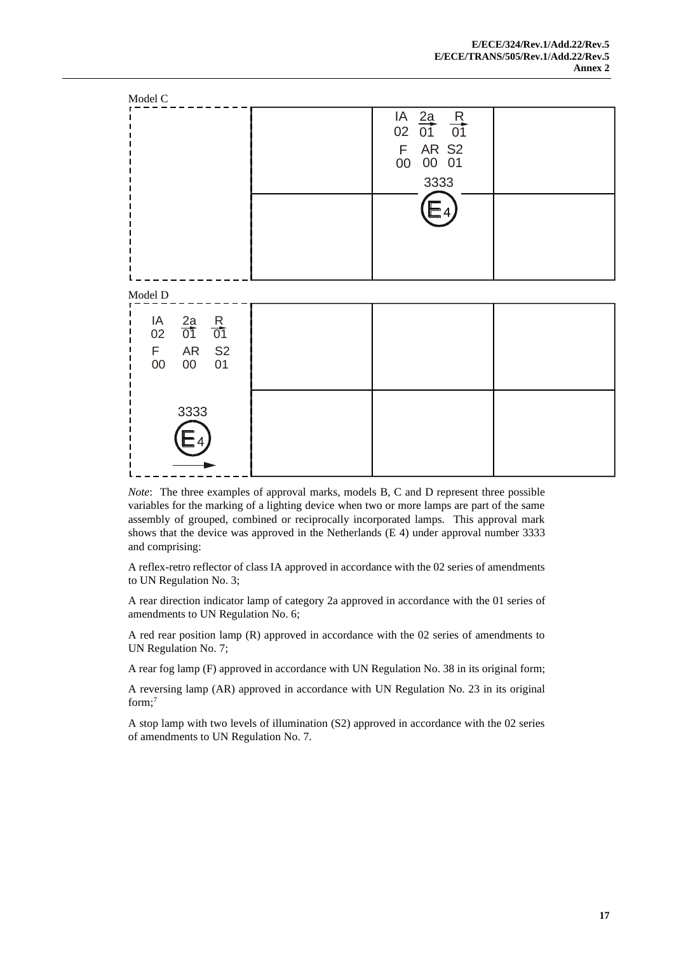

*Note*: The three examples of approval marks, models B, C and D represent three possible variables for the marking of a lighting device when two or more lamps are part of the same assembly of grouped, combined or reciprocally incorporated lamps. This approval mark shows that the device was approved in the Netherlands (E 4) under approval number 3333 and comprising:

A reflex-retro reflector of class IA approved in accordance with the 02 series of amendments to UN Regulation No. 3;

A rear direction indicator lamp of category 2a approved in accordance with the 01 series of amendments to UN Regulation No. 6;

A red rear position lamp (R) approved in accordance with the 02 series of amendments to UN Regulation No. 7;

A rear fog lamp (F) approved in accordance with UN Regulation No. 38 in its original form;

A reversing lamp (AR) approved in accordance with UN Regulation No. 23 in its original form;<sup>7</sup>

A stop lamp with two levels of illumination (S2) approved in accordance with the 02 series of amendments to UN Regulation No. 7.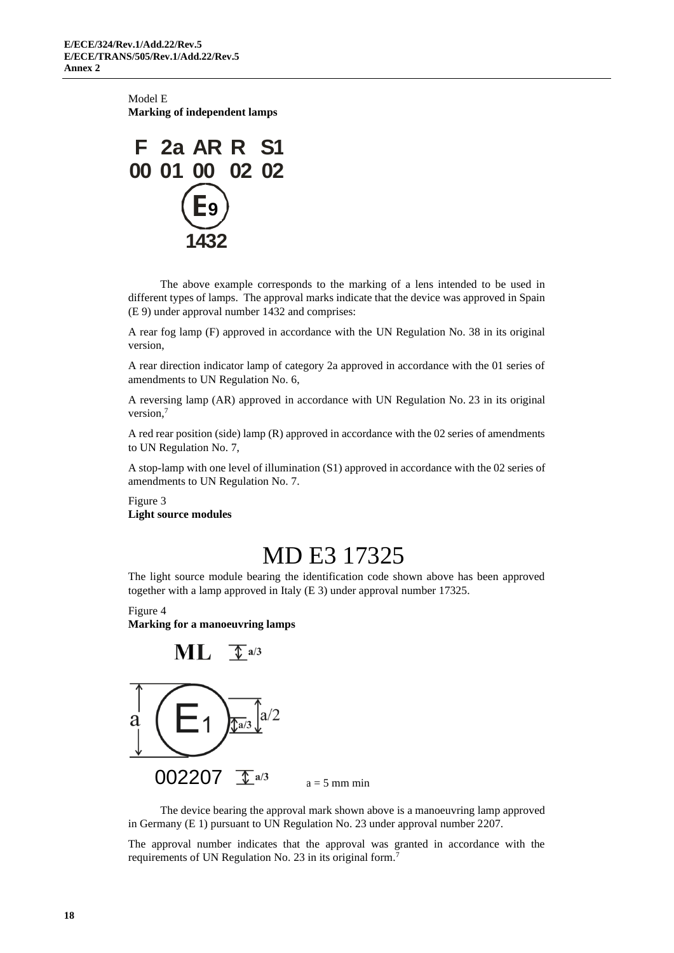Model E **Marking of independent lamps**



The above example corresponds to the marking of a lens intended to be used in different types of lamps. The approval marks indicate that the device was approved in Spain (E 9) under approval number 1432 and comprises:

A rear fog lamp (F) approved in accordance with the UN Regulation No. 38 in its original version,

A rear direction indicator lamp of category 2a approved in accordance with the 01 series of amendments to UN Regulation No. 6,

A reversing lamp (AR) approved in accordance with UN Regulation No. 23 in its original version,<sup>7</sup>

A red rear position (side) lamp (R) approved in accordance with the 02 series of amendments to UN Regulation No. 7,

A stop-lamp with one level of illumination (S1) approved in accordance with the 02 series of amendments to UN Regulation No. 7.

Figure 3 **Light source modules**

# MD E3 17325

The light source module bearing the identification code shown above has been approved together with a lamp approved in Italy (E 3) under approval number 17325.

Figure 4 **Marking for a manoeuvring lamps**



The device bearing the approval mark shown above is a manoeuvring lamp approved in Germany (E 1) pursuant to UN Regulation No. 23 under approval number 2207.

The approval number indicates that the approval was granted in accordance with the requirements of UN Regulation No. 23 in its original form.<sup>7</sup>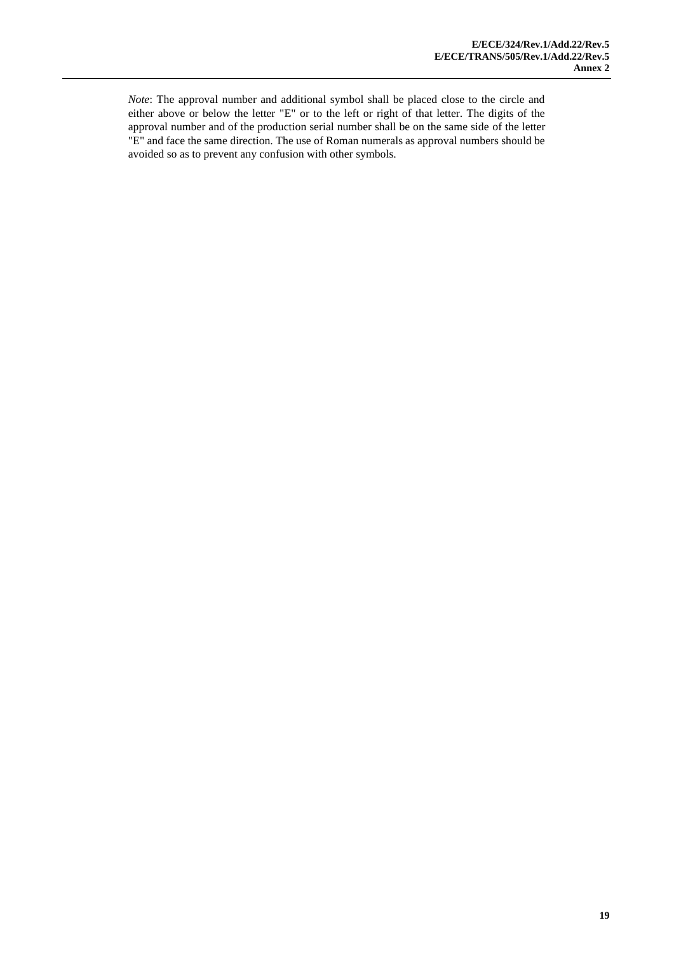*Note*: The approval number and additional symbol shall be placed close to the circle and either above or below the letter "E" or to the left or right of that letter. The digits of the approval number and of the production serial number shall be on the same side of the letter "E" and face the same direction. The use of Roman numerals as approval numbers should be avoided so as to prevent any confusion with other symbols.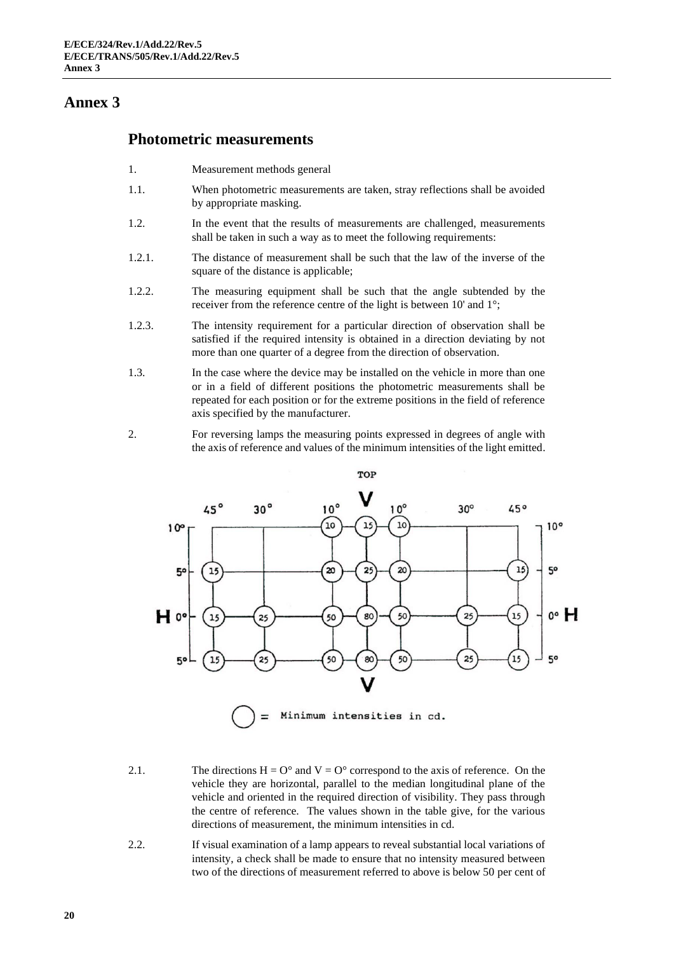#### **Photometric measurements**

- 1. Measurement methods general
- 1.1. When photometric measurements are taken, stray reflections shall be avoided by appropriate masking.
- 1.2. In the event that the results of measurements are challenged, measurements shall be taken in such a way as to meet the following requirements:
- 1.2.1. The distance of measurement shall be such that the law of the inverse of the square of the distance is applicable;
- 1.2.2. The measuring equipment shall be such that the angle subtended by the receiver from the reference centre of the light is between 10' and 1°;
- 1.2.3. The intensity requirement for a particular direction of observation shall be satisfied if the required intensity is obtained in a direction deviating by not more than one quarter of a degree from the direction of observation.
- 1.3. In the case where the device may be installed on the vehicle in more than one or in a field of different positions the photometric measurements shall be repeated for each position or for the extreme positions in the field of reference axis specified by the manufacturer.
- 2. For reversing lamps the measuring points expressed in degrees of angle with the axis of reference and values of the minimum intensities of the light emitted.



- 2.1. The directions  $H = O^{\circ}$  and  $V = O^{\circ}$  correspond to the axis of reference. On the vehicle they are horizontal, parallel to the median longitudinal plane of the vehicle and oriented in the required direction of visibility. They pass through the centre of reference. The values shown in the table give, for the various directions of measurement, the minimum intensities in cd.
- 2.2. If visual examination of a lamp appears to reveal substantial local variations of intensity, a check shall be made to ensure that no intensity measured between two of the directions of measurement referred to above is below 50 per cent of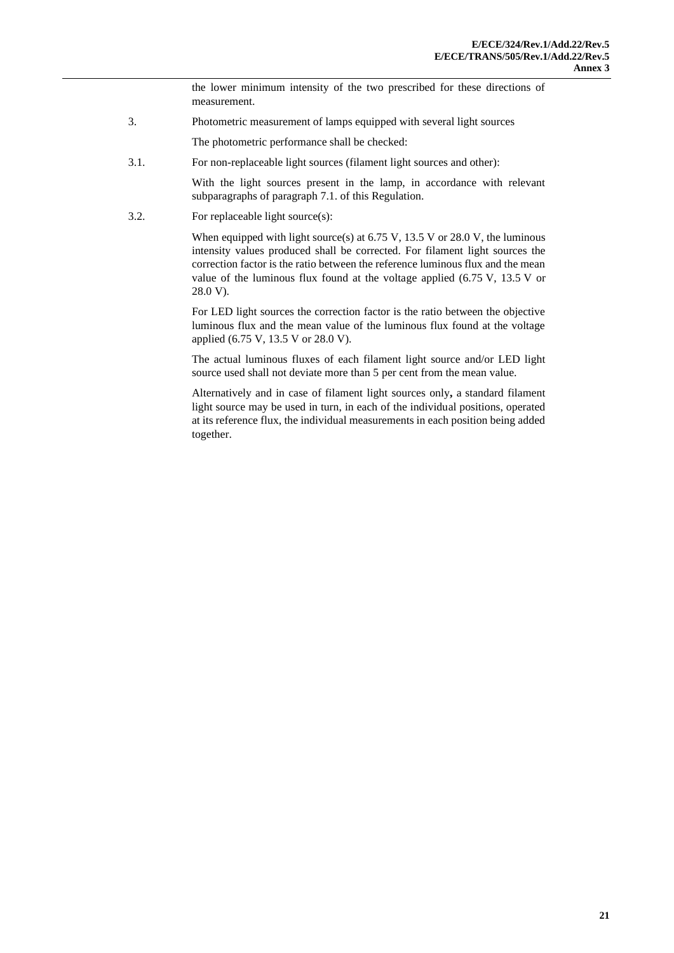the lower minimum intensity of the two prescribed for these directions of measurement.

3. Photometric measurement of lamps equipped with several light sources

The photometric performance shall be checked:

3.1. For non-replaceable light sources (filament light sources and other):

With the light sources present in the lamp, in accordance with relevant subparagraphs of paragraph 7.1. of this Regulation.

3.2. For replaceable light source(s):

When equipped with light source(s) at  $6.75$  V,  $13.5$  V or  $28.0$  V, the luminous intensity values produced shall be corrected. For filament light sources the correction factor is the ratio between the reference luminous flux and the mean value of the luminous flux found at the voltage applied (6.75 V, 13.5 V or 28.0 V).

For LED light sources the correction factor is the ratio between the objective luminous flux and the mean value of the luminous flux found at the voltage applied (6.75 V, 13.5 V or 28.0 V).

The actual luminous fluxes of each filament light source and/or LED light source used shall not deviate more than 5 per cent from the mean value.

Alternatively and in case of filament light sources only**,** a standard filament light source may be used in turn, in each of the individual positions, operated at its reference flux, the individual measurements in each position being added together.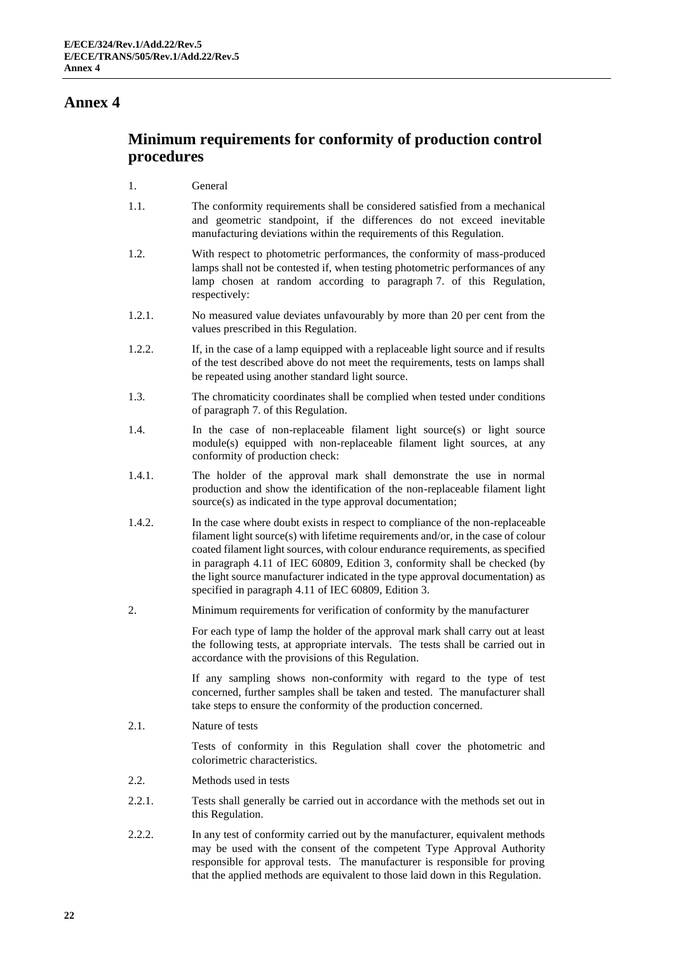# **Minimum requirements for conformity of production control procedures**

#### 1. General

- 1.1. The conformity requirements shall be considered satisfied from a mechanical and geometric standpoint, if the differences do not exceed inevitable manufacturing deviations within the requirements of this Regulation.
- 1.2. With respect to photometric performances, the conformity of mass-produced lamps shall not be contested if, when testing photometric performances of any lamp chosen at random according to paragraph 7. of this Regulation, respectively:
- 1.2.1. No measured value deviates unfavourably by more than 20 per cent from the values prescribed in this Regulation.
- 1.2.2. If, in the case of a lamp equipped with a replaceable light source and if results of the test described above do not meet the requirements, tests on lamps shall be repeated using another standard light source.
- 1.3. The chromaticity coordinates shall be complied when tested under conditions of paragraph 7. of this Regulation.
- 1.4. In the case of non-replaceable filament light source(s) or light source module(s) equipped with non-replaceable filament light sources, at any conformity of production check:
- 1.4.1. The holder of the approval mark shall demonstrate the use in normal production and show the identification of the non-replaceable filament light source(s) as indicated in the type approval documentation;
- 1.4.2. In the case where doubt exists in respect to compliance of the non-replaceable filament light source(s) with lifetime requirements and/or, in the case of colour coated filament light sources, with colour endurance requirements, as specified in paragraph 4.11 of IEC 60809, Edition 3, conformity shall be checked (by the light source manufacturer indicated in the type approval documentation) as specified in paragraph 4.11 of IEC 60809, Edition 3.
- 2. Minimum requirements for verification of conformity by the manufacturer

For each type of lamp the holder of the approval mark shall carry out at least the following tests, at appropriate intervals. The tests shall be carried out in accordance with the provisions of this Regulation.

If any sampling shows non-conformity with regard to the type of test concerned, further samples shall be taken and tested. The manufacturer shall take steps to ensure the conformity of the production concerned.

2.1. Nature of tests

Tests of conformity in this Regulation shall cover the photometric and colorimetric characteristics.

- 2.2. Methods used in tests
- 2.2.1. Tests shall generally be carried out in accordance with the methods set out in this Regulation.
- 2.2.2. In any test of conformity carried out by the manufacturer, equivalent methods may be used with the consent of the competent Type Approval Authority responsible for approval tests. The manufacturer is responsible for proving that the applied methods are equivalent to those laid down in this Regulation.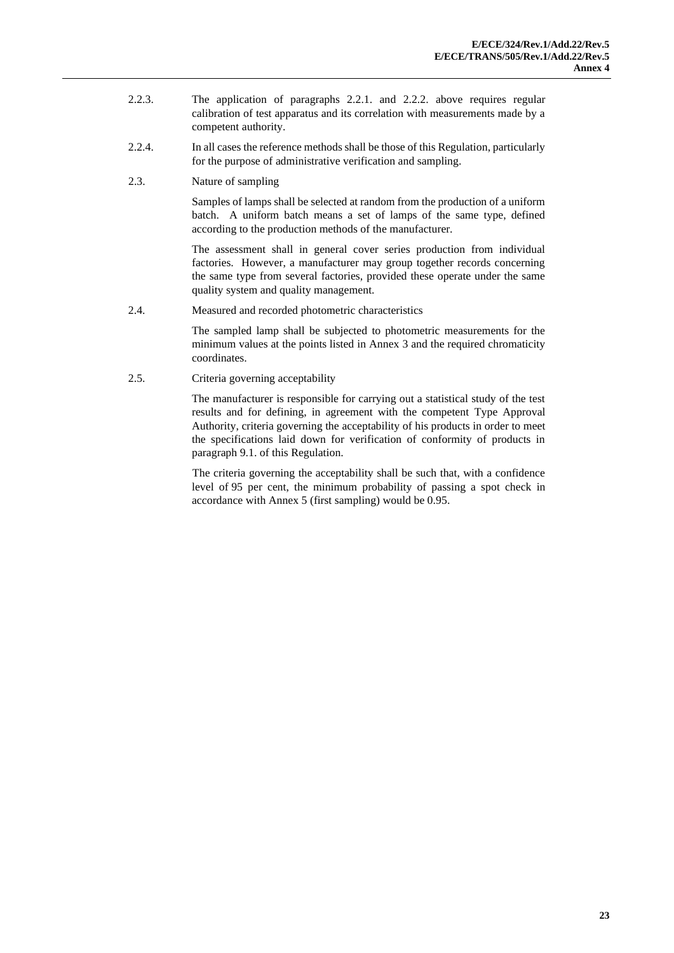- 2.2.3. The application of paragraphs 2.2.1. and 2.2.2. above requires regular calibration of test apparatus and its correlation with measurements made by a competent authority.
- 2.2.4. In all cases the reference methods shall be those of this Regulation, particularly for the purpose of administrative verification and sampling.
- 2.3. Nature of sampling

Samples of lamps shall be selected at random from the production of a uniform batch. A uniform batch means a set of lamps of the same type, defined according to the production methods of the manufacturer.

The assessment shall in general cover series production from individual factories. However, a manufacturer may group together records concerning the same type from several factories, provided these operate under the same quality system and quality management.

2.4. Measured and recorded photometric characteristics

The sampled lamp shall be subjected to photometric measurements for the minimum values at the points listed in Annex 3 and the required chromaticity coordinates.

2.5. Criteria governing acceptability

The manufacturer is responsible for carrying out a statistical study of the test results and for defining, in agreement with the competent Type Approval Authority, criteria governing the acceptability of his products in order to meet the specifications laid down for verification of conformity of products in paragraph 9.1. of this Regulation.

The criteria governing the acceptability shall be such that, with a confidence level of 95 per cent, the minimum probability of passing a spot check in accordance with Annex 5 (first sampling) would be 0.95.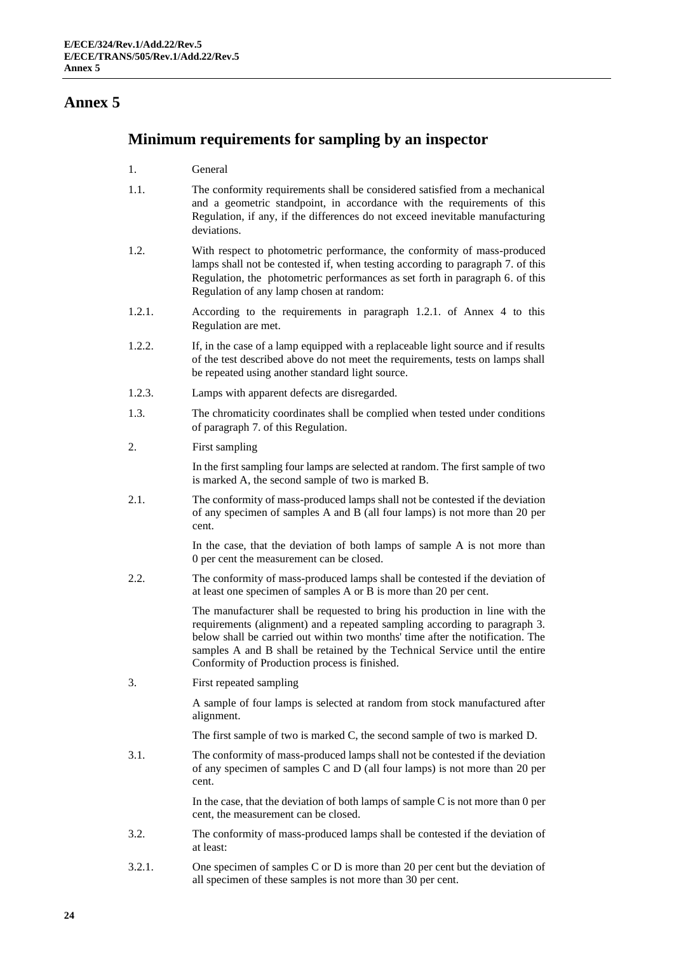#### **Minimum requirements for sampling by an inspector**

- 1. General
- 1.1. The conformity requirements shall be considered satisfied from a mechanical and a geometric standpoint, in accordance with the requirements of this Regulation, if any, if the differences do not exceed inevitable manufacturing deviations.
- 1.2. With respect to photometric performance, the conformity of mass-produced lamps shall not be contested if, when testing according to paragraph 7. of this Regulation, the photometric performances as set forth in paragraph 6. of this Regulation of any lamp chosen at random:
- 1.2.1. According to the requirements in paragraph 1.2.1. of Annex 4 to this Regulation are met.
- 1.2.2. If, in the case of a lamp equipped with a replaceable light source and if results of the test described above do not meet the requirements, tests on lamps shall be repeated using another standard light source.
- 1.2.3. Lamps with apparent defects are disregarded.
- 1.3. The chromaticity coordinates shall be complied when tested under conditions of paragraph 7. of this Regulation.
- 2. First sampling

In the first sampling four lamps are selected at random. The first sample of two is marked A, the second sample of two is marked B.

2.1. The conformity of mass-produced lamps shall not be contested if the deviation of any specimen of samples A and B (all four lamps) is not more than 20 per cent.

> In the case, that the deviation of both lamps of sample A is not more than 0 per cent the measurement can be closed.

2.2. The conformity of mass-produced lamps shall be contested if the deviation of at least one specimen of samples A or B is more than 20 per cent.

> The manufacturer shall be requested to bring his production in line with the requirements (alignment) and a repeated sampling according to paragraph 3. below shall be carried out within two months' time after the notification. The samples A and B shall be retained by the Technical Service until the entire Conformity of Production process is finished.

3. First repeated sampling

A sample of four lamps is selected at random from stock manufactured after alignment.

The first sample of two is marked C, the second sample of two is marked D.

3.1. The conformity of mass-produced lamps shall not be contested if the deviation of any specimen of samples C and D (all four lamps) is not more than 20 per cent.

> In the case, that the deviation of both lamps of sample  $C$  is not more than 0 per cent, the measurement can be closed.

- 3.2. The conformity of mass-produced lamps shall be contested if the deviation of at least:
- 3.2.1. One specimen of samples C or D is more than 20 per cent but the deviation of all specimen of these samples is not more than 30 per cent.